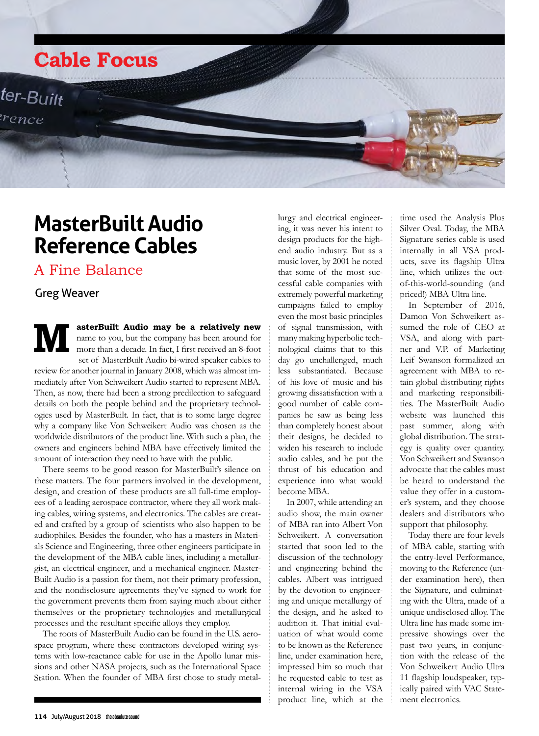

# **MasterBuilt Audio Reference Cables**

A Fine Balance

### Greg Weaver

**MasterBuilt Audio may be a relatively new**<br>name to you, but the company has been around for<br>more than a decade. In fact, I first received an 8-foot name to you, but the company has been around for more than a decade. In fact, I first received an 8-foot set of MasterBuilt Audio bi-wired speaker cables to

review for another journal in January 2008, which was almost immediately after Von Schweikert Audio started to represent MBA. Then, as now, there had been a strong predilection to safeguard details on both the people behind and the proprietary technologies used by MasterBuilt. In fact, that is to some large degree why a company like Von Schweikert Audio was chosen as the worldwide distributors of the product line. With such a plan, the owners and engineers behind MBA have effectively limited the amount of interaction they need to have with the public.

There seems to be good reason for MasterBuilt's silence on these matters. The four partners involved in the development, design, and creation of these products are all full-time employees of a leading aerospace contractor, where they all work making cables, wiring systems, and electronics. The cables are created and crafted by a group of scientists who also happen to be audiophiles. Besides the founder, who has a masters in Materials Science and Engineering, three other engineers participate in the development of the MBA cable lines, including a metallurgist, an electrical engineer, and a mechanical engineer. Master-Built Audio is a passion for them, not their primary profession, and the nondisclosure agreements they've signed to work for the government prevents them from saying much about either themselves or the proprietary technologies and metallurgical processes and the resultant specific alloys they employ.

The roots of MasterBuilt Audio can be found in the U.S. aerospace program, where these contractors developed wiring systems with low-reactance cable for use in the Apollo lunar missions and other NASA projects, such as the International Space Station. When the founder of MBA first chose to study metal-

lurgy and electrical engineering, it was never his intent to design products for the highend audio industry. But as a music lover, by 2001 he noted that some of the most successful cable companies with extremely powerful marketing campaigns failed to employ even the most basic principles of signal transmission, with many making hyperbolic technological claims that to this day go unchallenged, much less substantiated. Because of his love of music and his growing dissatisfaction with a good number of cable companies he saw as being less than completely honest about their designs, he decided to widen his research to include audio cables, and he put the thrust of his education and experience into what would become MBA.

In 2007, while attending an audio show, the main owner of MBA ran into Albert Von Schweikert. A conversation started that soon led to the discussion of the technology and engineering behind the cables. Albert was intrigued by the devotion to engineering and unique metallurgy of the design, and he asked to audition it. That initial evaluation of what would come to be known as the Reference line, under examination here, impressed him so much that he requested cable to test as internal wiring in the VSA product line, which at the

time used the Analysis Plus Silver Oval. Today, the MBA Signature series cable is used internally in all VSA products, save its flagship Ultra line, which utilizes the outof-this-world-sounding (and priced!) MBA Ultra line.

In September of 2016, Damon Von Schweikert assumed the role of CEO at VSA, and along with partner and V.P. of Marketing Leif Swanson formalized an agreement with MBA to retain global distributing rights and marketing responsibilities. The MasterBuilt Audio website was launched this past summer, along with global distribution. The strategy is quality over quantity. Von Schweikert and Swanson advocate that the cables must be heard to understand the value they offer in a customer's system, and they choose dealers and distributors who support that philosophy.

Today there are four levels of MBA cable, starting with the entry-level Performance, moving to the Reference (under examination here), then the Signature, and culminating with the Ultra, made of a unique undisclosed alloy. The Ultra line has made some impressive showings over the past two years, in conjunction with the release of the Von Schweikert Audio Ultra 11 flagship loudspeaker, typically paired with VAC Statement electronics.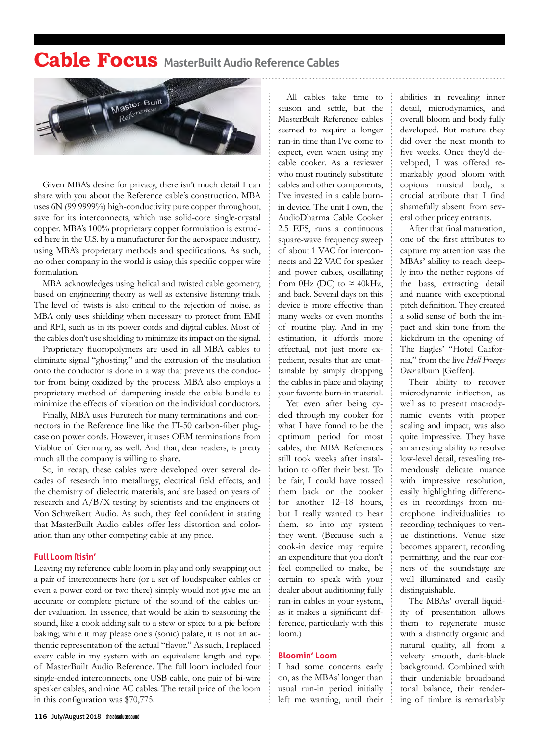## **Cable Focus MasterBuilt Audio Reference Cables**



Given MBA's desire for privacy, there isn't much detail I can share with you about the Reference cable's construction. MBA uses 6N (99.9999%) high-conductivity pure copper throughout, save for its interconnects, which use solid-core single-crystal copper. MBA's 100% proprietary copper formulation is extruded here in the U.S. by a manufacturer for the aerospace industry, using MBA's proprietary methods and specifications. As such, no other company in the world is using this specific copper wire formulation.

MBA acknowledges using helical and twisted cable geometry, based on engineering theory as well as extensive listening trials. The level of twists is also critical to the rejection of noise, as MBA only uses shielding when necessary to protect from EMI and RFI, such as in its power cords and digital cables. Most of the cables don't use shielding to minimize its impact on the signal.

Proprietary fluoropolymers are used in all MBA cables to eliminate signal "ghosting," and the extrusion of the insulation onto the conductor is done in a way that prevents the conductor from being oxidized by the process. MBA also employs a proprietary method of dampening inside the cable bundle to minimize the effects of vibration on the individual conductors.

Finally, MBA uses Furutech for many terminations and connectors in the Reference line like the FI-50 carbon-fiber plugcase on power cords. However, it uses OEM terminations from Viablue of Germany, as well. And that, dear readers, is pretty much all the company is willing to share.

So, in recap, these cables were developed over several decades of research into metallurgy, electrical field effects, and the chemistry of dielectric materials, and are based on years of research and A/B/X testing by scientists and the engineers of Von Schweikert Audio. As such, they feel confident in stating that MasterBuilt Audio cables offer less distortion and coloration than any other competing cable at any price.

#### **Full Loom Risin'**

Leaving my reference cable loom in play and only swapping out a pair of interconnects here (or a set of loudspeaker cables or even a power cord or two there) simply would not give me an accurate or complete picture of the sound of the cables under evaluation. In essence, that would be akin to seasoning the sound, like a cook adding salt to a stew or spice to a pie before baking; while it may please one's (sonic) palate, it is not an authentic representation of the actual "flavor." As such, I replaced every cable in my system with an equivalent length and type of MasterBuilt Audio Reference. The full loom included four single-ended interconnects, one USB cable, one pair of bi-wire speaker cables, and nine AC cables. The retail price of the loom in this configuration was \$70,775.

All cables take time to season and settle, but the MasterBuilt Reference cables seemed to require a longer run-in time than I've come to expect, even when using my cable cooker. As a reviewer who must routinely substitute cables and other components, I've invested in a cable burnin device. The unit I own, the AudioDharma Cable Cooker 2.5 EFS, runs a continuous square-wave frequency sweep of about 1 VAC for interconnects and 22 VAC for speaker and power cables, oscillating from 0Hz (DC) to  $\approx$  40kHz, and back. Several days on this device is more effective than many weeks or even months of routine play. And in my estimation, it affords more effectual, not just more expedient, results that are unattainable by simply dropping the cables in place and playing your favorite burn-in material.

Yet even after being cycled through my cooker for what I have found to be the optimum period for most cables, the MBA References still took weeks after installation to offer their best. To be fair, I could have tossed them back on the cooker for another 12–18 hours, but I really wanted to hear them, so into my system they went. (Because such a cook-in device may require an expenditure that you don't feel compelled to make, be certain to speak with your dealer about auditioning fully run-in cables in your system, as it makes a significant difference, particularly with this loom.)

#### **Bloomin' Loom**

I had some concerns early on, as the MBAs' longer than usual run-in period initially left me wanting, until their abilities in revealing inner detail, microdynamics, and overall bloom and body fully developed. But mature they did over the next month to five weeks. Once they'd developed, I was offered remarkably good bloom with copious musical body, a crucial attribute that I find shamefully absent from several other pricey entrants.

After that final maturation, one of the first attributes to capture my attention was the MBAs' ability to reach deeply into the nether regions of the bass, extracting detail and nuance with exceptional pitch definition. They created a solid sense of both the impact and skin tone from the kickdrum in the opening of The Eagles' "Hotel California," from the live *Hell Freezes Over* album [Geffen].

Their ability to recover microdynamic inflection, as well as to present macrodynamic events with proper scaling and impact, was also quite impressive. They have an arresting ability to resolve low-level detail, revealing tremendously delicate nuance with impressive resolution, easily highlighting differences in recordings from microphone individualities to recording techniques to venue distinctions. Venue size becomes apparent, recording permitting, and the rear corners of the soundstage are well illuminated and easily distinguishable.

The MBAs' overall liquidity of presentation allows them to regenerate music with a distinctly organic and natural quality, all from a velvety smooth, dark-black background. Combined with their undeniable broadband tonal balance, their rendering of timbre is remarkably